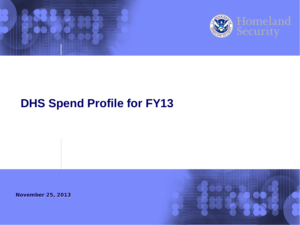



Homeland  $C11T1$ 

# **DHS Spend Profile for FY13**

**November 25, 2013** 

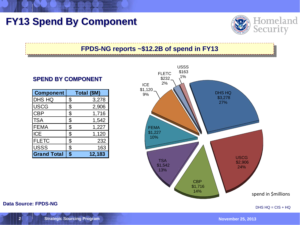# **FY13 Spend By Component**



#### **FPDS-NG reports ~\$12.2B of spend in FY13**

#### **SPEND BY COMPONENT**

| <b>Component</b>   | Total (\$M)  |
|--------------------|--------------|
| DHS HQ             | \$<br>3,278  |
| <b>USCG</b>        | \$<br>2,906  |
| <b>CBP</b>         | \$<br>1,716  |
| <b>TSA</b>         | \$<br>1,542  |
| <b>FEMA</b>        | \$<br>1,227  |
| <b>ICE</b>         | \$<br>1,120  |
| <b>FLETC</b>       | \$<br>232    |
| <b>USSS</b>        | \$<br>163    |
| <b>Grand Total</b> | \$<br>12,183 |



**Data Source: FPDS-NG** 

DHS HQ = CIS + HQ

**November 25, 2013**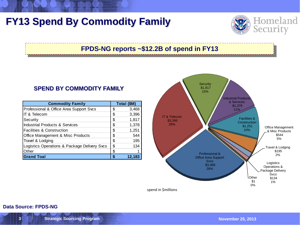## **FY13 Spend By Commodity Family**



### **FPDS-NG reports ~\$12.2B of spend in FY13**

#### **SPEND BY COMMODITY FAMILY**

| <b>Commodity Family</b>                      | Total (\$M) |       |  |
|----------------------------------------------|-------------|-------|--|
| Professional & Office Area Support Svcs      | \$          | 3,468 |  |
| IT & Telecom                                 | \$          | 3,396 |  |
| Security                                     | \$          | 1,817 |  |
| <b>Industrial Products &amp; Services</b>    | \$          | 1,378 |  |
| <b>Facilities &amp; Construction</b>         | \$          | 1,251 |  |
| Office Management & Misc Products            | \$          | 544   |  |
| Travel & Lodging                             | \$          | 195   |  |
| Logistics Operations & Package Delivery Svcs | \$          | 134   |  |
| Other                                        | \$          |       |  |
| <b>Grand Toal</b>                            | ς           |       |  |



**Data Source: FPDS-NG**